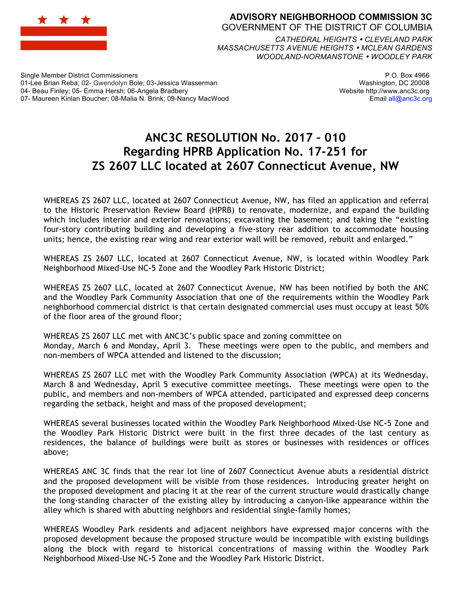

## **ADVISORY NEIGHBORHOOD COMMISSION 3C** GOVERNMENT OF THE DISTRICT OF COLUMBIA

*CATHEDRAL HEIGHTS CLEVELAND PARK MASSACHUSETTS AVENUE HEIGHTS MCLEAN GARDENS WOODLAND-NORMANSTONE WOODLEY PARK*

Single Member District Commissioners 01-Lee Brian Reba; 02- Gwendolyn Bole; 03-Jessica Wasserman 04- Beau Finley; 05- Emma Hersh; 06-Angela Bradbery 07- Maureen Kinlan Boucher; 08-Malia N. Brink; 09-Nancy MacWood

P.O. Box 4966 Washington, DC 20008 Website http://www.anc3c.org Email all@anc3c.org

## **ANC3C RESOLUTION No. 2017 – 010 Regarding HPRB Application No. 17-251 for ZS 2607 LLC located at 2607 Connecticut Avenue, NW**

WHEREAS ZS 2607 LLC, located at 2607 Connecticut Avenue, NW, has filed an application and referral to the Historic Preservation Review Board (HPRB) to renovate, modernize, and expand the building which includes interior and exterior renovations; excavating the basement; and taking the "existing four-story contributing building and developing a five-story rear addition to accommodate housing units; hence, the existing rear wing and rear exterior wall will be removed, rebuilt and enlarged."

WHEREAS ZS 2607 LLC, located at 2607 Connecticut Avenue, NW, is located within Woodley Park Neighborhood Mixed-Use NC**-**5 Zone and the Woodley Park Historic District;

WHEREAS ZS 2607 LLC, located at 2607 Connecticut Avenue, NW has been notified by both the ANC and the Woodley Park Community Association that one of the requirements within the Woodley Park neighborhood commercial district is that certain designated commercial uses must occupy at least 50% of the floor area of the ground floor;

WHEREAS ZS 2607 LLC met with ANC3C's public space and zoning committee on Monday, March 6 and Monday, April 3. These meetings were open to the public, and members and non-members of WPCA attended and listened to the discussion;

WHEREAS ZS 2607 LLC met with the Woodley Park Community Association (WPCA) at its Wednesday, March 8 and Wednesday, April 5 executive committee meetings. These meetings were open to the public, and members and non-members of WPCA attended, participated and expressed deep concerns regarding the setback, height and mass of the proposed development;

WHEREAS several businesses located within the Woodley Park Neighborhood Mixed-Use NC**-**5 Zone and the Woodley Park Historic District were built in the first three decades of the last century as residences, the balance of buildings were built as stores or businesses with residences or offices above;

WHEREAS ANC 3C finds that the rear lot line of 2607 Connecticut Avenue abuts a residential district and the proposed development will be visible from those residences. Introducing greater height on the proposed development and placing it at the rear of the current structure would drastically change the long-standing character of the existing alley by introducing a canyon-like appearance within the alley which is shared with abutting neighbors and residential single-family homes;

WHEREAS Woodley Park residents and adjacent neighbors have expressed major concerns with the proposed development because the proposed structure would be incompatible with existing buildings along the block with regard to historical concentrations of massing within the Woodley Park Neighborhood Mixed-Use NC**-**5 Zone and the Woodley Park Historic District.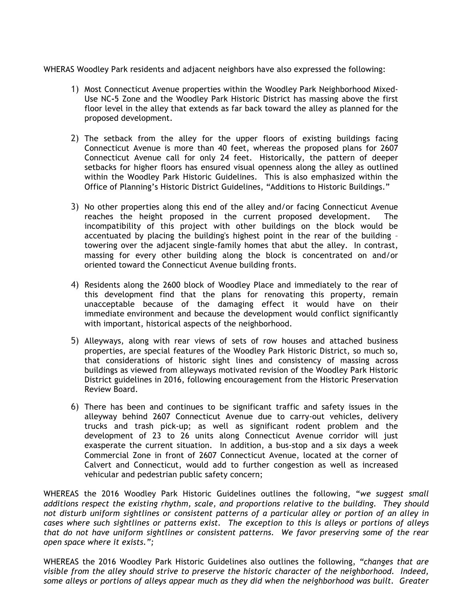WHERAS Woodley Park residents and adjacent neighbors have also expressed the following:

- 1) Most Connecticut Avenue properties within the Woodley Park Neighborhood Mixed-Use NC**-**5 Zone and the Woodley Park Historic District has massing above the first floor level in the alley that extends as far back toward the alley as planned for the proposed development.
- 2) The setback from the alley for the upper floors of existing buildings facing Connecticut Avenue is more than 40 feet, whereas the proposed plans for 2607 Connecticut Avenue call for only 24 feet. Historically, the pattern of deeper setbacks for higher floors has ensured visual openness along the alley as outlined within the Woodley Park Historic Guidelines. This is also emphasized within the Office of Planning's Historic District Guidelines, "Additions to Historic Buildings."
- 3) No other properties along this end of the alley and/or facing Connecticut Avenue reaches the height proposed in the current proposed development. The incompatibility of this project with other buildings on the block would be accentuated by placing the building's highest point in the rear of the building – towering over the adjacent single-family homes that abut the alley. In contrast, massing for every other building along the block is concentrated on and/or oriented toward the Connecticut Avenue building fronts.
- 4) Residents along the 2600 block of Woodley Place and immediately to the rear of this development find that the plans for renovating this property, remain unacceptable because of the damaging effect it would have on their immediate environment and because the development would conflict significantly with important, historical aspects of the neighborhood.
- 5) Alleyways, along with rear views of sets of row houses and attached business properties, are special features of the Woodley Park Historic District, so much so, that considerations of historic sight lines and consistency of massing across buildings as viewed from alleyways motivated revision of the Woodley Park Historic District guidelines in 2016, following encouragement from the Historic Preservation Review Board.
- 6) There has been and continues to be significant traffic and safety issues in the alleyway behind 2607 Connecticut Avenue due to carry-out vehicles, delivery trucks and trash pick-up; as well as significant rodent problem and the development of 23 to 26 units along Connecticut Avenue corridor will just exasperate the current situation. In addition, a bus-stop and a six days a week Commercial Zone in front of 2607 Connecticut Avenue, located at the corner of Calvert and Connecticut, would add to further congestion as well as increased vehicular and pedestrian public safety concern;

WHEREAS the 2016 Woodley Park Historic Guidelines outlines the following, "*we suggest small additions respect the existing rhythm, scale, and proportions relative to the building. They should not disturb uniform sightlines or consistent patterns of a particular alley or portion of an alley in cases where such sightlines or patterns exist. The exception to this is alleys or portions of alleys that do not have uniform sightlines or consistent patterns. We favor preserving some of the rear open space where it exists.";* 

WHEREAS the 2016 Woodley Park Historic Guidelines also outlines the following, *"changes that are visible from the alley should strive to preserve the historic character of the neighborhood. Indeed, some alleys or portions of alleys appear much as they did when the neighborhood was built. Greater*